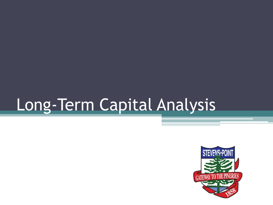# Long-Term Capital Analysis

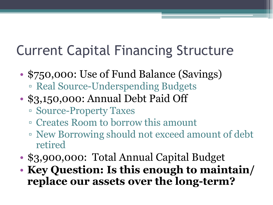#### Current Capital Financing Structure

- \$750,000: Use of Fund Balance (Savings) ▫ Real Source-Underspending Budgets
- \$3,150,000: Annual Debt Paid Off
	- Source-Property Taxes
	- Creates Room to borrow this amount
	- New Borrowing should not exceed amount of debt retired
- \$3,900,000: Total Annual Capital Budget
- **Key Question: Is this enough to maintain/ replace our assets over the long-term?**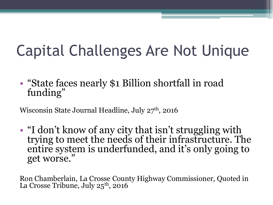## Capital Challenges Are Not Unique

• "State faces nearly \$1 Billion shortfall in road funding"

Wisconsin State Journal Headline, July  $27<sup>th</sup>$ , 2016

• "I don't know of any city that isn't struggling with trying to meet the needs of their infrastructure. The entire system is underfunded, and it's only going to get worse."

Ron Chamberlain, La Crosse County Highway Commissioner, Quoted in La Crosse Tribune, July 25<sup>th</sup>, 2016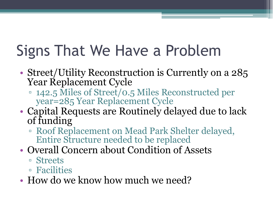## Signs That We Have a Problem

- Street/Utility Reconstruction is Currently on a 285 Year Replacement Cycle
	- 142.5 Miles of Street/0.5 Miles Reconstructed per year=285 Year Replacement Cycle
- Capital Requests are Routinely delayed due to lack of funding
	- Roof Replacement on Mead Park Shelter delayed, Entire Structure needed to be replaced
- Overall Concern about Condition of Assets
	- Streets
	- Facilities
- How do we know how much we need?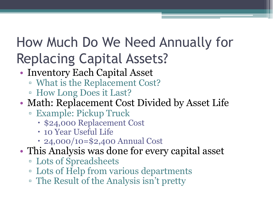#### How Much Do We Need Annually for Replacing Capital Assets?

- Inventory Each Capital Asset
	- What is the Replacement Cost?
	- How Long Does it Last?
- Math: Replacement Cost Divided by Asset Life
	- Example: Pickup Truck
		- \$24,000 Replacement Cost
		- 10 Year Useful Life
		- 24,000/10=\$2,400 Annual Cost
- This Analysis was done for every capital asset
	- Lots of Spreadsheets
	- Lots of Help from various departments
	- The Result of the Analysis isn't pretty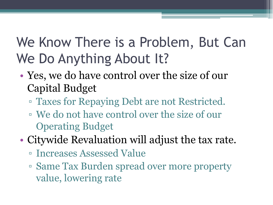#### We Know There is a Problem, But Can We Do Anything About It?

- Yes, we do have control over the size of our Capital Budget
	- Taxes for Repaying Debt are not Restricted.
	- We do not have control over the size of our Operating Budget
- Citywide Revaluation will adjust the tax rate.
	- Increases Assessed Value
	- Same Tax Burden spread over more property value, lowering rate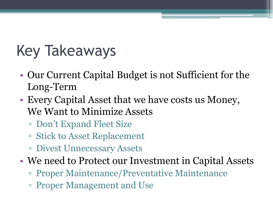## Key Takeaways

- Our Current Capital Budget is not Sufficient for the Long-Term
- Every Capital Asset that we have costs us Money, We Want to Minimize Assets
	- Don't Expand Fleet Size
	- Stick to Asset Replacement
	- Divest Unnecessary Assets
- We need to Protect our Investment in Capital Assets
	- Proper Maintenance/Preventative Maintenance
	- Proper Management and Use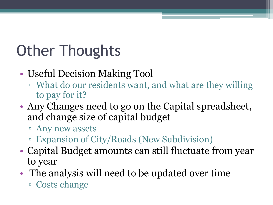## Other Thoughts

- Useful Decision Making Tool
	- What do our residents want, and what are they willing to pay for it?
- Any Changes need to go on the Capital spreadsheet, and change size of capital budget
	- Any new assets
	- Expansion of City/Roads (New Subdivision)
- Capital Budget amounts can still fluctuate from year to year
- The analysis will need to be updated over time ▫ Costs change